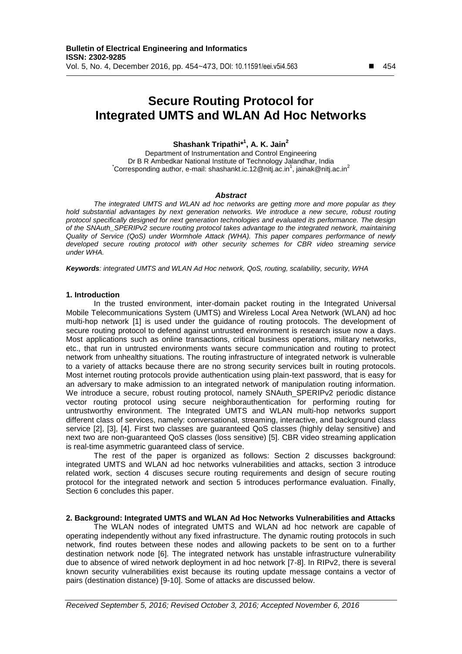# **Secure Routing Protocol for Integrated UMTS and WLAN Ad Hoc Networks**

# **Shashank Tripathi\* 1 , A. K. Jain<sup>2</sup>**

Department of Instrumentation and Control Engineering Dr B R Ambedkar National Institute of Technology Jalandhar, India Corresponding author, e-mail: shashankt.ic.12@nitj.ac.in<sup>1</sup>, jainak@nitj.ac.in<sup>2</sup>

## *Abstract*

*The integrated UMTS and WLAN ad hoc networks are getting more and more popular as they*  hold substantial advantages by next generation networks. We introduce a new secure, robust routing *protocol specifically designed for next generation technologies and evaluated its performance. The design of the SNAuth\_SPERIPv2 secure routing protocol takes advantage to the integrated network, maintaining Quality of Service (QoS) under Wormhole Attack (WHA). This paper compares performance of newly developed secure routing protocol with other security schemes for CBR video streaming service under WHA.*

*Keywords: integrated UMTS and WLAN Ad Hoc network, QoS, routing, scalability, security, WHA*

#### **1. Introduction**

In the trusted environment, inter-domain packet routing in the Integrated Universal Mobile Telecommunications System (UMTS) and Wireless Local Area Network (WLAN) ad hoc multi-hop network [1] is used under the guidance of routing protocols. The development of secure routing protocol to defend against untrusted environment is research issue now a days. Most applications such as online transactions, critical business operations, military networks, etc., that run in untrusted environments wants secure communication and routing to protect network from unhealthy situations. The routing infrastructure of integrated network is vulnerable to a variety of attacks because there are no strong security services built in routing protocols. Most internet routing protocols provide authentication using plain-text password, that is easy for an adversary to make admission to an integrated network of manipulation routing information. We introduce a secure, robust routing protocol, namely SNAuth\_SPERIPv2 periodic distance vector routing protocol using secure neighborauthentication for performing routing for untrustworthy environment. The Integrated UMTS and WLAN multi-hop networks support different class of services, namely: conversational, streaming, interactive, and background class service [2], [3], [4]. First two classes are guaranteed QoS classes (highly delay sensitive) and next two are non-guaranteed QoS classes (loss sensitive) [5]. CBR video streaming application is real-time asymmetric guaranteed class of service.

The rest of the paper is organized as follows: Section 2 discusses background: integrated UMTS and WLAN ad hoc networks vulnerabilities and attacks, section 3 introduce related work, section 4 discuses secure routing requirements and design of secure routing protocol for the integrated network and section 5 introduces performance evaluation. Finally, Section 6 concludes this paper.

#### **2. Background: Integrated UMTS and WLAN Ad Hoc Networks Vulnerabilities and Attacks**

The WLAN nodes of integrated UMTS and WLAN ad hoc network are capable of operating independently without any fixed infrastructure. The dynamic routing protocols in such network, find routes between these nodes and allowing packets to be sent on to a further destination network node [6]. The integrated network has unstable infrastructure vulnerability due to absence of wired network deployment in ad hoc network [7-8]. In RIPv2, there is several known security vulnerabilities exist because its routing update message contains a vector of pairs (destination distance) [9-10]. Some of attacks are discussed below.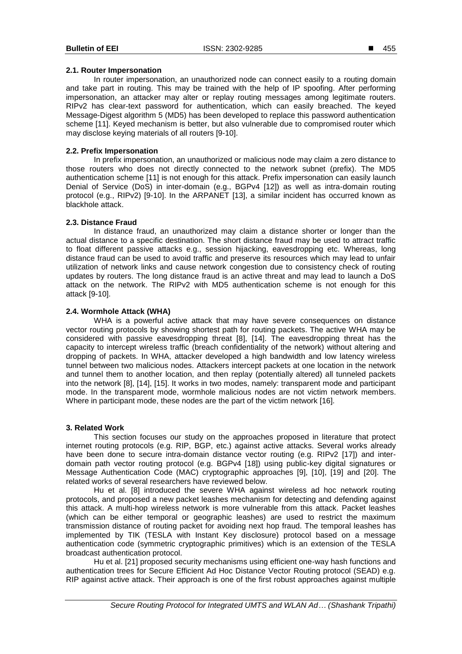#### **2.1. Router Impersonation**

In router impersonation, an unauthorized node can connect easily to a routing domain and take part in routing. This may be trained with the help of IP spoofing. After performing impersonation, an attacker may alter or replay routing messages among legitimate routers. RIPv2 has clear-text password for authentication, which can easily breached. The keyed Message-Digest algorithm 5 (MD5) has been developed to replace this password authentication scheme [11]. Keyed mechanism is better, but also vulnerable due to compromised router which may disclose keying materials of all routers [9-10].

## **2.2. Prefix Impersonation**

In prefix impersonation, an unauthorized or malicious node may claim a zero distance to those routers who does not directly connected to the network subnet (prefix). The MD5 authentication scheme [11] is not enough for this attack. Prefix impersonation can easily launch Denial of Service (DoS) in inter-domain (e.g., BGPv4 [12]) as well as intra-domain routing protocol (e.g., RIPv2) [9-10]. In the ARPANET [13], a similar incident has occurred known as blackhole attack.

## **2.3. Distance Fraud**

In distance fraud, an unauthorized may claim a distance shorter or longer than the actual distance to a specific destination. The short distance fraud may be used to attract traffic to float different passive attacks e.g., session hijacking, eavesdropping etc. Whereas, long distance fraud can be used to avoid traffic and preserve its resources which may lead to unfair utilization of network links and cause network congestion due to consistency check of routing updates by routers. The long distance fraud is an active threat and may lead to launch a DoS attack on the network. The RIPv2 with MD5 authentication scheme is not enough for this attack [9-10].

## **2.4. Wormhole Attack (WHA)**

WHA is a powerful active attack that may have severe consequences on distance vector routing protocols by showing shortest path for routing packets. The active WHA may be considered with passive eavesdropping threat [8], [14]. The eavesdropping threat has the capacity to intercept wireless traffic (breach confidentiality of the network) without altering and dropping of packets. In WHA, attacker developed a high bandwidth and low latency wireless tunnel between two malicious nodes. Attackers intercept packets at one location in the network and tunnel them to another location, and then replay (potentially altered) all tunneled packets into the network [8], [14], [15]. It works in two modes, namely: transparent mode and participant mode. In the transparent mode, wormhole malicious nodes are not victim network members. Where in participant mode, these nodes are the part of the victim network [16].

## **3. Related Work**

This section focuses our study on the approaches proposed in literature that protect internet routing protocols (e.g. RIP, BGP, etc.) against active attacks. Several works already have been done to secure intra-domain distance vector routing (e.g. RIPv2 [17]) and interdomain path vector routing protocol (e.g. BGPv4 [18]) using public-key digital signatures or Message Authentication Code (MAC) cryptographic approaches [9], [10], [19] and [20]. The related works of several researchers have reviewed below.

Hu et al. [8] introduced the severe WHA against wireless ad hoc network routing protocols, and proposed a new packet leashes mechanism for detecting and defending against this attack. A multi-hop wireless network is more vulnerable from this attack. Packet leashes (which can be either temporal or geographic leashes) are used to restrict the maximum transmission distance of routing packet for avoiding next hop fraud. The temporal leashes has implemented by TIK (TESLA with Instant Key disclosure) protocol based on a message authentication code (symmetric cryptographic primitives) which is an extension of the TESLA broadcast authentication protocol.

Hu et al. [21] proposed security mechanisms using efficient one-way hash functions and authentication trees for Secure Efficient Ad Hoc Distance Vector Routing protocol (SEAD) e.g. RIP against active attack. Their approach is one of the first robust approaches against multiple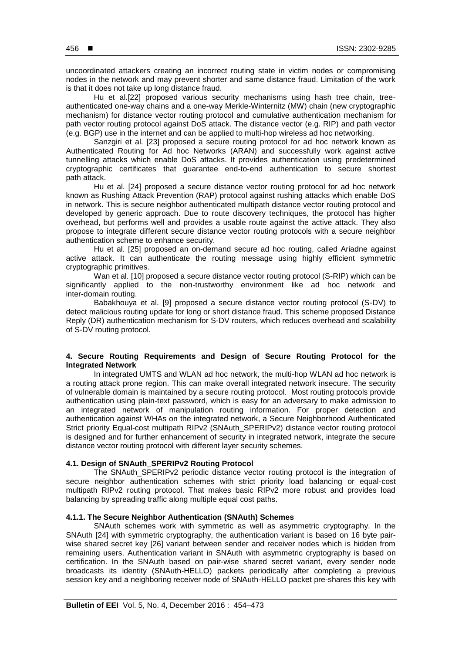uncoordinated attackers creating an incorrect routing state in victim nodes or compromising nodes in the network and may prevent shorter and same distance fraud. Limitation of the work is that it does not take up long distance fraud.

Hu et al.[22] proposed various security mechanisms using hash tree chain, treeauthenticated one-way chains and a one-way Merkle-Winternitz (MW) chain (new cryptographic mechanism) for distance vector routing protocol and cumulative authentication mechanism for path vector routing protocol against DoS attack. The distance vector (e.g. RIP) and path vector (e.g. BGP) use in the internet and can be applied to multi-hop wireless ad hoc networking.

Sanzgiri et al. [23] proposed a secure routing protocol for ad hoc network known as Authenticated Routing for Ad hoc Networks (ARAN) and successfully work against active tunnelling attacks which enable DoS attacks. It provides authentication using predetermined cryptographic certificates that guarantee end-to-end authentication to secure shortest path attack.

Hu et al. [24] proposed a secure distance vector routing protocol for ad hoc network known as Rushing Attack Prevention (RAP) protocol against rushing attacks which enable DoS in network. This is secure neighbor authenticated multipath distance vector routing protocol and developed by generic approach. Due to route discovery techniques, the protocol has higher overhead, but performs well and provides a usable route against the active attack. They also propose to integrate different secure distance vector routing protocols with a secure neighbor authentication scheme to enhance security.

Hu et al. [25] proposed an on-demand secure ad hoc routing, called Ariadne against active attack. It can authenticate the routing message using highly efficient symmetric cryptographic primitives.

Wan et al. [10] proposed a secure distance vector routing protocol (S-RIP) which can be significantly applied to the non-trustworthy environment like ad hoc network and inter-domain routing.

Babakhouya et al. [9] proposed a secure distance vector routing protocol (S-DV) to detect malicious routing update for long or short distance fraud. This scheme proposed Distance Reply (DR) authentication mechanism for S-DV routers, which reduces overhead and scalability of S-DV routing protocol.

## **4. Secure Routing Requirements and Design of Secure Routing Protocol for the Integrated Network**

In integrated UMTS and WLAN ad hoc network, the multi-hop WLAN ad hoc network is a routing attack prone region. This can make overall integrated network insecure. The security of vulnerable domain is maintained by a secure routing protocol. Most routing protocols provide authentication using plain-text password, which is easy for an adversary to make admission to an integrated network of manipulation routing information. For proper detection and authentication against WHAs on the integrated network, a Secure Neighborhood Authenticated Strict priority Equal-cost multipath RIPv2 (SNAuth\_SPERIPv2) distance vector routing protocol is designed and for further enhancement of security in integrated network, integrate the secure distance vector routing protocol with different layer security schemes.

## **4.1. Design of SNAuth\_SPERIPv2 Routing Protocol**

The SNAuth\_SPERIPv2 periodic distance vector routing protocol is the integration of secure neighbor authentication schemes with strict priority load balancing or equal-cost multipath RIPv2 routing protocol. That makes basic RIPv2 more robust and provides load balancing by spreading traffic along multiple equal cost paths.

## **4.1.1. The Secure Neighbor Authentication (SNAuth) Schemes**

SNAuth schemes work with symmetric as well as asymmetric cryptography. In the SNAuth [24] with symmetric cryptography, the authentication variant is based on 16 byte pairwise shared secret key [26] variant between sender and receiver nodes which is hidden from remaining users. Authentication variant in SNAuth with asymmetric cryptography is based on certification. In the SNAuth based on pair-wise shared secret variant, every sender node broadcasts its identity (SNAuth-HELLO) packets periodically after completing a previous session key and a neighboring receiver node of SNAuth-HELLO packet pre-shares this key with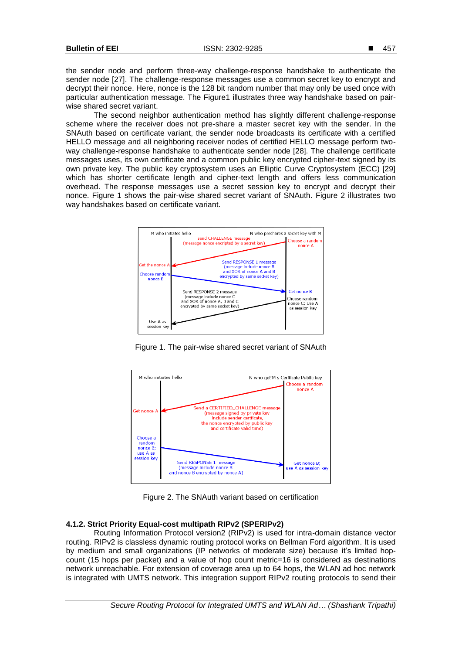the sender node and perform three-way challenge-response handshake to authenticate the sender node [27]. The challenge-response messages use a common secret key to encrypt and decrypt their nonce. Here, nonce is the 128 bit random number that may only be used once with particular authentication message. The Figure1 illustrates three way handshake based on pairwise shared secret variant.

The second neighbor authentication method has slightly different challenge-response scheme where the receiver does not pre-share a master secret key with the sender. In the SNAuth based on certificate variant, the sender node broadcasts its certificate with a certified HELLO message and all neighboring receiver nodes of certified HELLO message perform twoway challenge-response handshake to authenticate sender node [28]. The challenge certificate messages uses, its own certificate and a common public key encrypted cipher-text signed by its own private key. The public key cryptosystem uses an Elliptic Curve Cryptosystem (ECC) [29] which has shorter certificate length and cipher-text length and offers less communication overhead. The response messages use a secret session key to encrypt and decrypt their nonce. Figure 1 shows the pair-wise shared secret variant of SNAuth. Figure 2 illustrates two way handshakes based on certificate variant.



Figure 1. The pair-wise shared secret variant of SNAuth



Figure 2. The SNAuth variant based on certification

# **4.1.2. Strict Priority Equal-cost multipath RIPv2 (SPERIPv2)**

Routing Information Protocol version2 (RIPv2) is used for intra-domain distance vector routing. RIPv2 is classless dynamic routing protocol works on Bellman Ford algorithm. It is used by medium and small organizations (IP networks of moderate size) because it's limited hopcount (15 hops per packet) and a value of hop count metric=16 is considered as destinations network unreachable. For extension of coverage area up to 64 hops, the WLAN ad hoc network is integrated with UMTS network. This integration support RIPv2 routing protocols to send their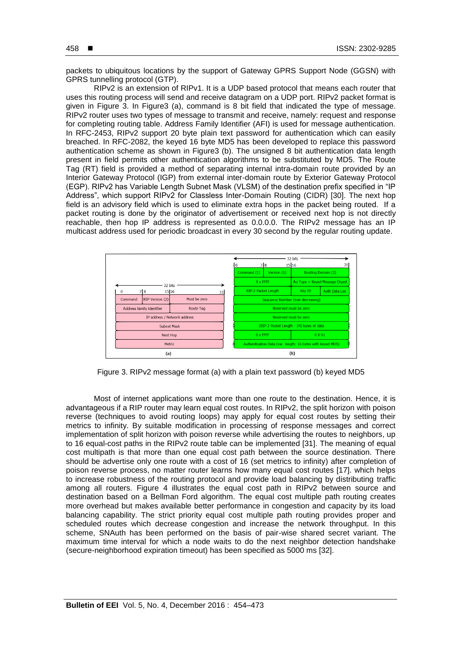packets to ubiquitous locations by the support of Gateway GPRS Support Node (GGSN) with GPRS tunnelling protocol (GTP).

RIPv2 is an extension of RIPv1. It is a UDP based protocol that means each router that uses this routing process will send and receive datagram on a UDP port. RIPv2 packet format is given in Figure 3. In Figure3 (a), command is 8 bit field that indicated the type of message. RIPv2 router uses two types of message to transmit and receive, namely: request and response for completing routing table. Address Family Identifier (AFI) is used for message authentication. In RFC-2453, RIPv2 support 20 byte plain text password for authentication which can easily breached. In RFC-2082, the keyed 16 byte MD5 has been developed to replace this password authentication scheme as shown in Figure3 (b). The unsigned 8 bit authentication data length present in field permits other authentication algorithms to be substituted by MD5. The Route Tag (RT) field is provided a method of separating internal intra-domain route provided by an Interior Gateway Protocol (IGP) from external inter-domain route by Exterior Gateway Protocol (EGP). RIPv2 has Variable Length Subnet Mask (VLSM) of the destination prefix specified in "IP Address", which support RIPv2 for Classless Inter-Domain Routing (CIDR) [30]. The next hop field is an advisory field which is used to eliminate extra hops in the packet being routed. If a packet routing is done by the originator of advertisement or received next hop is not directly reachable, then hop IP address is represented as 0.0.0.0. The RIPv2 message has an IP multicast address used for periodic broadcast in every 30 second by the regular routing update.



Figure 3. RIPv2 message format (a) with a plain text password (b) keyed MD5

Most of internet applications want more than one route to the destination. Hence, it is advantageous if a RIP router may learn equal cost routes. In RIPv2, the split horizon with poison reverse (techniques to avoid routing loops) may apply for equal cost routes by setting their metrics to infinity. By suitable modification in processing of response messages and correct implementation of split horizon with poison reverse while advertising the routes to neighbors, up to 16 equal-cost paths in the RIPv2 route table can be implemented [31]. The meaning of equal cost multipath is that more than one equal cost path between the source destination. There should be advertise only one route with a cost of 16 (set metrics to infinity) after completion of poison reverse process, no matter router learns how many equal cost routes [17]. which helps to increase robustness of the routing protocol and provide load balancing by distributing traffic among all routers. Figure 4 illustrates the equal cost path in RIPv2 between source and destination based on a Bellman Ford algorithm. The equal cost multiple path routing creates more overhead but makes available better performance in congestion and capacity by its load balancing capability. The strict priority equal cost multiple path routing provides proper and scheduled routes which decrease congestion and increase the network throughput. In this scheme, SNAuth has been performed on the basis of pair-wise shared secret variant. The maximum time interval for which a node waits to do the next neighbor detection handshake (secure-neighborhood expiration timeout) has been specified as 5000 ms [32].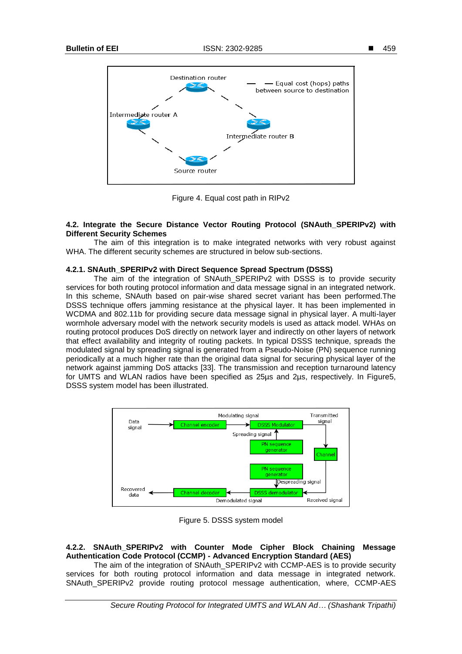

Figure 4. Equal cost path in RIPv2

## **4.2. Integrate the Secure Distance Vector Routing Protocol (SNAuth\_SPERIPv2) with Different Security Schemes**

The aim of this integration is to make integrated networks with very robust against WHA. The different security schemes are structured in below sub-sections.

## **4.2.1. SNAuth\_SPERIPv2 with Direct Sequence Spread Spectrum (DSSS)**

The aim of the integration of SNAuth SPERIPv2 with DSSS is to provide security services for both routing protocol information and data message signal in an integrated network. In this scheme, SNAuth based on pair-wise shared secret variant has been performed.The DSSS technique offers jamming resistance at the physical layer. It has been implemented in WCDMA and 802.11b for providing secure data message signal in physical layer. A multi-layer wormhole adversary model with the network security models is used as attack model. WHAs on routing protocol produces DoS directly on network layer and indirectly on other layers of network that effect availability and integrity of routing packets. In typical DSSS technique, spreads the modulated signal by spreading signal is generated from a Pseudo-Noise (PN) sequence running periodically at a much higher rate than the original data signal for securing physical layer of the network against jamming DoS attacks [33]. The transmission and reception turnaround latency for UMTS and WLAN radios have been specified as 25µs and 2µs, respectively. In Figure5, DSSS system model has been illustrated.



Figure 5. DSSS system model

# **4.2.2. SNAuth\_SPERIPv2 with Counter Mode Cipher Block Chaining Message Authentication Code Protocol (CCMP) - Advanced Encryption Standard (AES)**

The aim of the integration of SNAuth\_SPERIPv2 with CCMP-AES is to provide security services for both routing protocol information and data message in integrated network. SNAuth\_SPERIPv2 provide routing protocol message authentication, where, CCMP-AES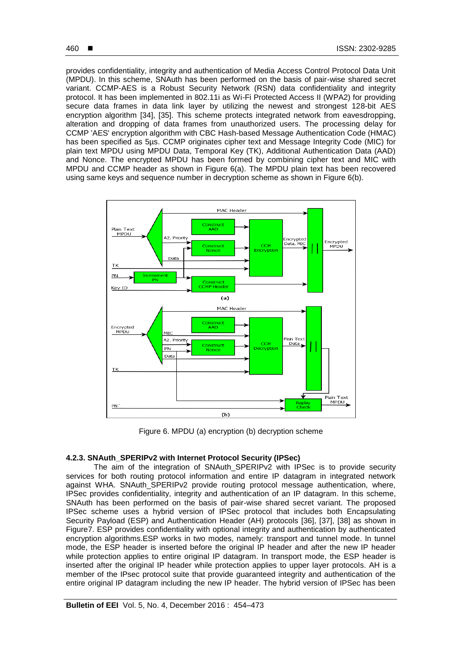provides confidentiality, integrity and authentication of Media Access Control Protocol Data Unit (MPDU). In this scheme, SNAuth has been performed on the basis of pair-wise shared secret variant. CCMP-AES is a Robust Security Network (RSN) data confidentiality and integrity protocol. It has been implemented in 802.11i as Wi-Fi Protected Access II (WPA2) for providing secure data frames in data link layer by utilizing the newest and strongest 128-bit AES encryption algorithm [34], [35]. This scheme protects integrated network from eavesdropping, alteration and dropping of data frames from unauthorized users. The processing delay for CCMP 'AES' encryption algorithm with CBC Hash-based Message Authentication Code (HMAC) has been specified as 5µs. CCMP originates cipher text and Message Integrity Code (MIC) for plain text MPDU using MPDU Data, Temporal Key (TK), Additional Authentication Data (AAD) and Nonce. The encrypted MPDU has been formed by combining cipher text and MIC with MPDU and CCMP header as shown in Figure 6(a). The MPDU plain text has been recovered using same keys and sequence number in decryption scheme as shown in Figure 6(b).



Figure 6. MPDU (a) encryption (b) decryption scheme

## **4.2.3. SNAuth\_SPERIPv2 with Internet Protocol Security (IPSec)**

The aim of the integration of SNAuth\_SPERIPv2 with IPSec is to provide security services for both routing protocol information and entire IP datagram in integrated network against WHA. SNAuth\_SPERIPv2 provide routing protocol message authentication, where, IPSec provides confidentiality, integrity and authentication of an IP datagram. In this scheme, SNAuth has been performed on the basis of pair-wise shared secret variant. The proposed IPSec scheme uses a hybrid version of IPSec protocol that includes both Encapsulating Security Payload (ESP) and Authentication Header (AH) protocols [36], [37], [38] as shown in Figure7. ESP provides confidentiality with optional integrity and authentication by authenticated encryption algorithms.ESP works in two modes, namely: transport and tunnel mode. In tunnel mode, the ESP header is inserted before the original IP header and after the new IP header while protection applies to entire original IP datagram. In transport mode, the ESP header is inserted after the original IP header while protection applies to upper layer protocols. AH is a member of the IPsec protocol suite that provide guaranteed integrity and authentication of the entire original IP datagram including the new IP header. The hybrid version of IPSec has been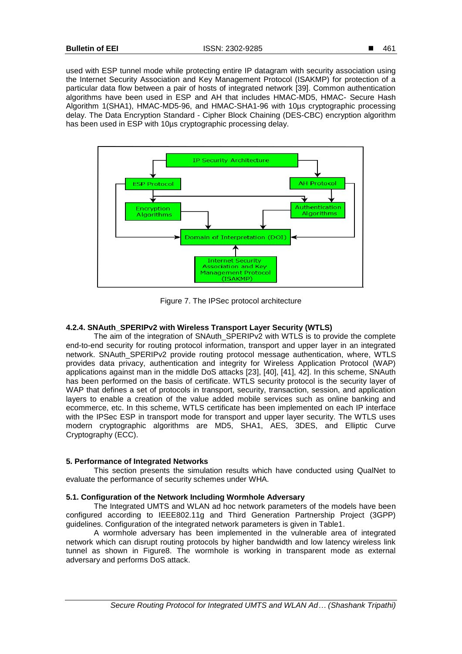used with ESP tunnel mode while protecting entire IP datagram with security association using the Internet Security Association and Key Management Protocol (ISAKMP) for protection of a particular data flow between a pair of hosts of integrated network [39]. Common authentication algorithms have been used in ESP and AH that includes HMAC-MD5, HMAC- Secure Hash Algorithm 1(SHA1), HMAC-MD5-96, and HMAC-SHA1-96 with 10µs cryptographic processing delay. The Data Encryption Standard - Cipher Block Chaining (DES-CBC) encryption algorithm has been used in ESP with 10us cryptographic processing delay.



Figure 7. The IPSec protocol architecture

# **4.2.4. SNAuth\_SPERIPv2 with Wireless Transport Layer Security (WTLS)**

The aim of the integration of SNAuth\_SPERIPv2 with WTLS is to provide the complete end-to-end security for routing protocol information, transport and upper layer in an integrated network. SNAuth\_SPERIPv2 provide routing protocol message authentication, where, WTLS provides data privacy, authentication and integrity for Wireless Application Protocol (WAP) applications against man in the middle DoS attacks [23], [40], [41], 42]. In this scheme, SNAuth has been performed on the basis of certificate. WTLS security protocol is the security layer of WAP that defines a set of protocols in transport, security, transaction, session, and application layers to enable a creation of the value added mobile services such as online banking and ecommerce, etc. In this scheme, WTLS certificate has been implemented on each IP interface with the IPSec ESP in transport mode for transport and upper layer security. The WTLS uses modern cryptographic algorithms are MD5, SHA1, AES, 3DES, and Elliptic Curve Cryptography (ECC).

#### **5. Performance of Integrated Networks**

This section presents the simulation results which have conducted using QualNet to evaluate the performance of security schemes under WHA.

## **5.1. Configuration of the Network Including Wormhole Adversary**

The Integrated UMTS and WLAN ad hoc network parameters of the models have been configured according to IEEE802.11g and Third Generation Partnership Project (3GPP) guidelines. Configuration of the integrated network parameters is given in Table1.

A wormhole adversary has been implemented in the vulnerable area of integrated network which can disrupt routing protocols by higher bandwidth and low latency wireless link tunnel as shown in Figure8. The wormhole is working in transparent mode as external adversary and performs DoS attack.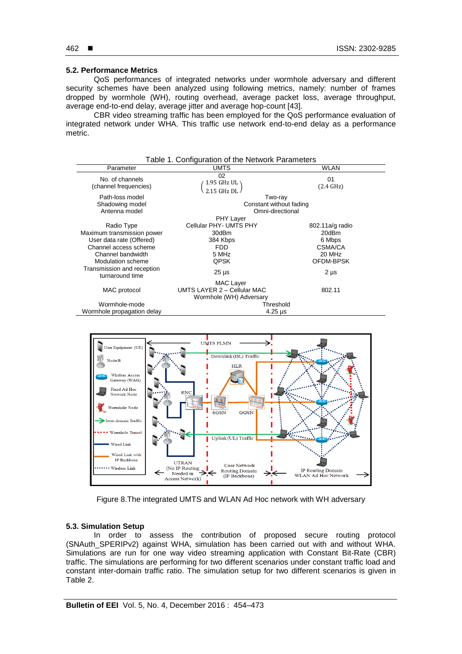# 462 ■

## **5.2. Performance Metrics**

QoS performances of integrated networks under wormhole adversary and different security schemes have been analyzed using following metrics, namely: number of frames dropped by wormhole (WH), routing overhead, average packet loss, average throughput, average end-to-end delay, average jitter and average hop-count [43].

CBR video streaming traffic has been employed for the QoS performance evaluation of integrated network under WHA. This traffic use network end-to-end delay as a performance metric.







## **5.3. Simulation Setup**

In order to assess the contribution of proposed secure routing protocol (SNAuth\_SPERIPv2) against WHA, simulation has been carried out with and without WHA. Simulations are run for one way video streaming application with Constant Bit-Rate (CBR) traffic. The simulations are performing for two different scenarios under constant traffic load and constant inter-domain traffic ratio. The simulation setup for two different scenarios is given in Table 2.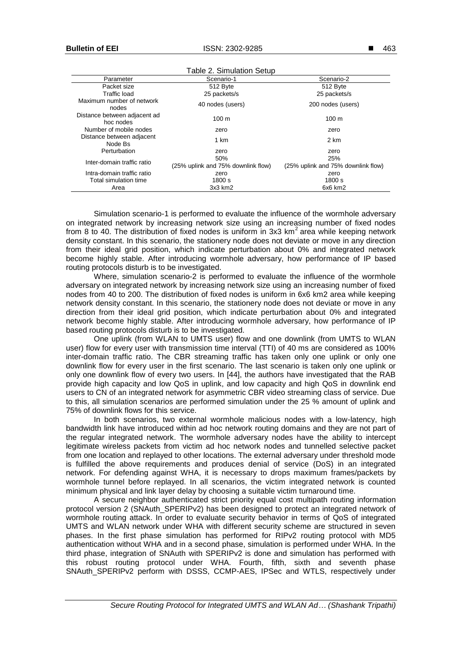| Table 2. Simulation Setup                 |                                           |                                           |
|-------------------------------------------|-------------------------------------------|-------------------------------------------|
| Parameter                                 | Scenario-1                                | Scenario-2                                |
| Packet size                               | 512 Byte                                  | 512 Byte                                  |
| Traffic load                              | 25 packets/s                              | 25 packets/s                              |
| Maximum number of network<br>nodes        | 40 nodes (users)                          | 200 nodes (users)                         |
| Distance between adjacent ad<br>hoc nodes | 100 <sub>m</sub>                          | 100 <sub>m</sub>                          |
| Number of mobile nodes                    | zero                                      | zero                                      |
| Distance between adjacent<br>Node Bs      | 1 km                                      | 2 km                                      |
| Perturbation                              | zero                                      | zero                                      |
| Inter-domain traffic ratio                | 50%<br>(25% uplink and 75% downlink flow) | 25%<br>(25% uplink and 75% downlink flow) |
| Intra-domain traffic ratio                | zero                                      | zero                                      |
| Total simulation time                     | 1800 s                                    | 1800 s                                    |
| Area                                      | 3x3 km2                                   | 6x6 km2                                   |

Simulation scenario-1 is performed to evaluate the influence of the wormhole adversary on integrated network by increasing network size using an increasing number of fixed nodes from 8 to 40. The distribution of fixed nodes is uniform in 3x3  $km<sup>2</sup>$  area while keeping network density constant. In this scenario, the stationery node does not deviate or move in any direction from their ideal grid position, which indicate perturbation about 0% and integrated network become highly stable. After introducing wormhole adversary, how performance of IP based routing protocols disturb is to be investigated.

Where, simulation scenario-2 is performed to evaluate the influence of the wormhole adversary on integrated network by increasing network size using an increasing number of fixed nodes from 40 to 200. The distribution of fixed nodes is uniform in 6x6 km2 area while keeping network density constant. In this scenario, the stationery node does not deviate or move in any direction from their ideal grid position, which indicate perturbation about 0% and integrated network become highly stable. After introducing wormhole adversary, how performance of IP based routing protocols disturb is to be investigated.

One uplink (from WLAN to UMTS user) flow and one downlink (from UMTS to WLAN user) flow for every user with transmission time interval (TTI) of 40 ms are considered as 100% inter-domain traffic ratio. The CBR streaming traffic has taken only one uplink or only one downlink flow for every user in the first scenario. The last scenario is taken only one uplink or only one downlink flow of every two users. In [44], the authors have investigated that the RAB provide high capacity and low QoS in uplink, and low capacity and high QoS in downlink end users to CN of an integrated network for asymmetric CBR video streaming class of service. Due to this, all simulation scenarios are performed simulation under the 25 % amount of uplink and 75% of downlink flows for this service.

In both scenarios, two external wormhole malicious nodes with a low-latency, high bandwidth link have introduced within ad hoc network routing domains and they are not part of the regular integrated network. The wormhole adversary nodes have the ability to intercept legitimate wireless packets from victim ad hoc network nodes and tunnelled selective packet from one location and replayed to other locations. The external adversary under threshold mode is fulfilled the above requirements and produces denial of service (DoS) in an integrated network. For defending against WHA, it is necessary to drops maximum frames/packets by wormhole tunnel before replayed. In all scenarios, the victim integrated network is counted minimum physical and link layer delay by choosing a suitable victim turnaround time.

A secure neighbor authenticated strict priority equal cost multipath routing information protocol version 2 (SNAuth\_SPERIPv2) has been designed to protect an integrated network of wormhole routing attack. In order to evaluate security behavior in terms of QoS of integrated UMTS and WLAN network under WHA with different security scheme are structured in seven phases. In the first phase simulation has performed for RIPv2 routing protocol with MD5 authentication without WHA and in a second phase, simulation is performed under WHA. In the third phase, integration of SNAuth with SPERIPv2 is done and simulation has performed with this robust routing protocol under WHA. Fourth, fifth, sixth and seventh phase SNAuth\_SPERIPv2 perform with DSSS, CCMP-AES, IPSec and WTLS, respectively under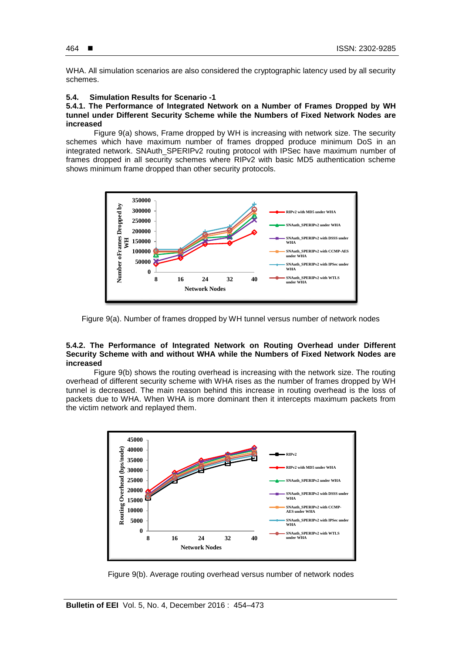WHA. All simulation scenarios are also considered the cryptographic latency used by all security schemes.

# **5.4. Simulation Results for Scenario -1**

## **5.4.1. The Performance of Integrated Network on a Number of Frames Dropped by WH tunnel under Different Security Scheme while the Numbers of Fixed Network Nodes are increased**

Figure 9(a) shows, Frame dropped by WH is increasing with network size. The security schemes which have maximum number of frames dropped produce minimum DoS in an integrated network. SNAuth\_SPERIPv2 routing protocol with IPSec have maximum number of frames dropped in all security schemes where RIPv2 with basic MD5 authentication scheme shows minimum frame dropped than other security protocols.



Figure 9(a). Number of frames dropped by WH tunnel versus number of network nodes

#### **5.4.2. The Performance of Integrated Network on Routing Overhead under Different Security Scheme with and without WHA while the Numbers of Fixed Network Nodes are increased**

Figure 9(b) shows the routing overhead is increasing with the network size. The routing overhead of different security scheme with WHA rises as the number of frames dropped by WH tunnel is decreased. The main reason behind this increase in routing overhead is the loss of packets due to WHA. When WHA is more dominant then it intercepts maximum packets from the victim network and replayed them.



Figure 9(b). Average routing overhead versus number of network nodes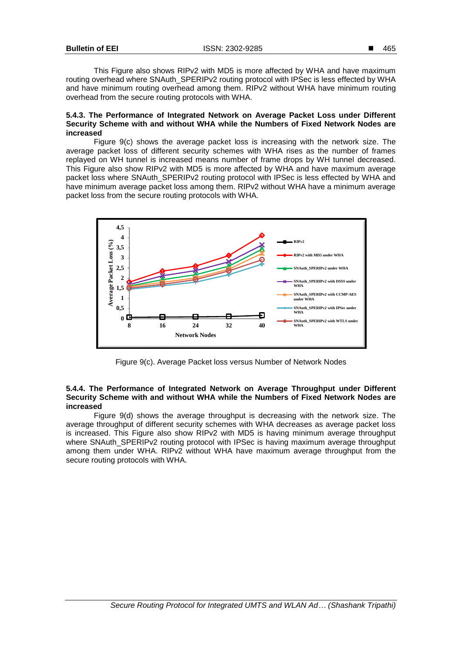This Figure also shows RIPv2 with MD5 is more affected by WHA and have maximum routing overhead where SNAuth\_SPERIPv2 routing protocol with IPSec is less effected by WHA and have minimum routing overhead among them. RIPv2 without WHA have minimum routing overhead from the secure routing protocols with WHA.

#### **5.4.3. The Performance of Integrated Network on Average Packet Loss under Different Security Scheme with and without WHA while the Numbers of Fixed Network Nodes are increased**

Figure 9(c) shows the average packet loss is increasing with the network size. The average packet loss of different security schemes with WHA rises as the number of frames replayed on WH tunnel is increased means number of frame drops by WH tunnel decreased. This Figure also show RIPv2 with MD5 is more affected by WHA and have maximum average packet loss where SNAuth\_SPERIPv2 routing protocol with IPSec is less effected by WHA and have minimum average packet loss among them. RIPv2 without WHA have a minimum average packet loss from the secure routing protocols with WHA.



Figure 9(c). Average Packet loss versus Number of Network Nodes

## **5.4.4. The Performance of Integrated Network on Average Throughput under Different Security Scheme with and without WHA while the Numbers of Fixed Network Nodes are increased**

Figure 9(d) shows the average throughput is decreasing with the network size. The average throughput of different security schemes with WHA decreases as average packet loss is increased. This Figure also show RIPv2 with MD5 is having minimum average throughput where SNAuth\_SPERIPv2 routing protocol with IPSec is having maximum average throughput among them under WHA. RIPv2 without WHA have maximum average throughput from the secure routing protocols with WHA.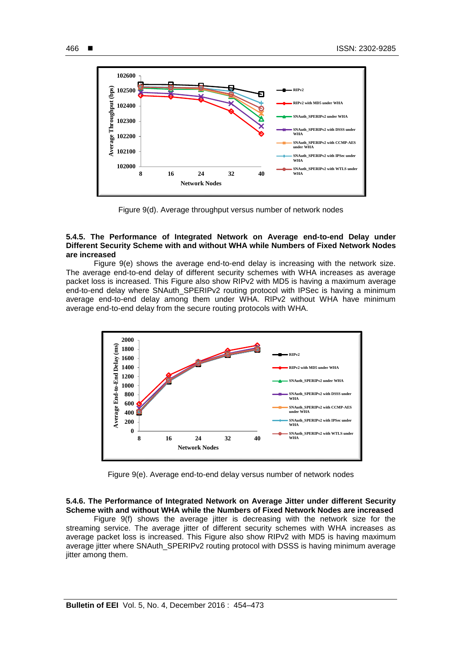

Figure 9(d). Average throughput versus number of network nodes

## **5.4.5. The Performance of Integrated Network on Average end-to-end Delay under Different Security Scheme with and without WHA while Numbers of Fixed Network Nodes are increased**

Figure 9(e) shows the average end-to-end delay is increasing with the network size. The average end-to-end delay of different security schemes with WHA increases as average packet loss is increased. This Figure also show RIPv2 with MD5 is having a maximum average end-to-end delay where SNAuth\_SPERIPv2 routing protocol with IPSec is having a minimum average end-to-end delay among them under WHA. RIPv2 without WHA have minimum average end-to-end delay from the secure routing protocols with WHA.



Figure 9(e). Average end-to-end delay versus number of network nodes

# **5.4.6. The Performance of Integrated Network on Average Jitter under different Security Scheme with and without WHA while the Numbers of Fixed Network Nodes are increased**

Figure 9(f) shows the average jitter is decreasing with the network size for the streaming service. The average jitter of different security schemes with WHA increases as average packet loss is increased. This Figure also show RIPv2 with MD5 is having maximum average jitter where SNAuth\_SPERIPv2 routing protocol with DSSS is having minimum average jitter among them.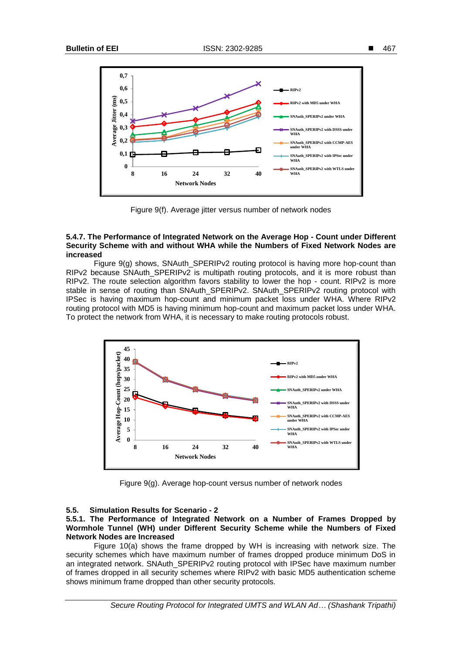

Figure 9(f). Average jitter versus number of network nodes

#### **5.4.7. The Performance of Integrated Network on the Average Hop - Count under Different Security Scheme with and without WHA while the Numbers of Fixed Network Nodes are increased**

Figure 9(g) shows, SNAuth SPERIPv2 routing protocol is having more hop-count than RIPv2 because SNAuth\_SPERIPv2 is multipath routing protocols, and it is more robust than RIPv2. The route selection algorithm favors stability to lower the hop - count. RIPv2 is more stable in sense of routing than SNAuth\_SPERIPv2. SNAuth\_SPERIPv2 routing protocol with IPSec is having maximum hop-count and minimum packet loss under WHA. Where RIPv2 routing protocol with MD5 is having minimum hop-count and maximum packet loss under WHA. To protect the network from WHA, it is necessary to make routing protocols robust.



Figure 9(g). Average hop-count versus number of network nodes

#### **5.5. Simulation Results for Scenario - 2**

## **5.5.1. The Performance of Integrated Network on a Number of Frames Dropped by Wormhole Tunnel (WH) under Different Security Scheme while the Numbers of Fixed Network Nodes are Increased**

Figure 10(a) shows the frame dropped by WH is increasing with network size. The security schemes which have maximum number of frames dropped produce minimum DoS in an integrated network. SNAuth\_SPERIPv2 routing protocol with IPSec have maximum number of frames dropped in all security schemes where RIPv2 with basic MD5 authentication scheme shows minimum frame dropped than other security protocols.

*Secure Routing Protocol for Integrated UMTS and WLAN Ad… (Shashank Tripathi)*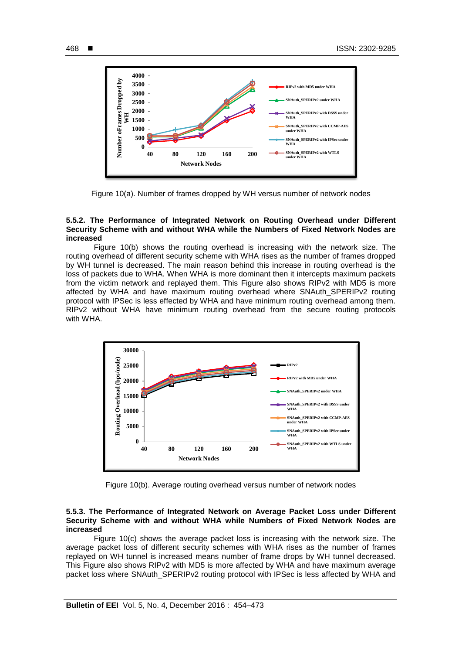

Figure 10(a). Number of frames dropped by WH versus number of network nodes

#### **5.5.2. The Performance of Integrated Network on Routing Overhead under Different Security Scheme with and without WHA while the Numbers of Fixed Network Nodes are increased**

Figure 10(b) shows the routing overhead is increasing with the network size. The routing overhead of different security scheme with WHA rises as the number of frames dropped by WH tunnel is decreased. The main reason behind this increase in routing overhead is the loss of packets due to WHA. When WHA is more dominant then it intercepts maximum packets from the victim network and replayed them. This Figure also shows RIPv2 with MD5 is more affected by WHA and have maximum routing overhead where SNAuth\_SPERIPv2 routing protocol with IPSec is less effected by WHA and have minimum routing overhead among them. RIPv2 without WHA have minimum routing overhead from the secure routing protocols with WHA.



Figure 10(b). Average routing overhead versus number of network nodes

## **5.5.3. The Performance of Integrated Network on Average Packet Loss under Different Security Scheme with and without WHA while Numbers of Fixed Network Nodes are increased**

Figure 10(c) shows the average packet loss is increasing with the network size. The average packet loss of different security schemes with WHA rises as the number of frames replayed on WH tunnel is increased means number of frame drops by WH tunnel decreased. This Figure also shows RIPv2 with MD5 is more affected by WHA and have maximum average packet loss where SNAuth\_SPERIPv2 routing protocol with IPSec is less affected by WHA and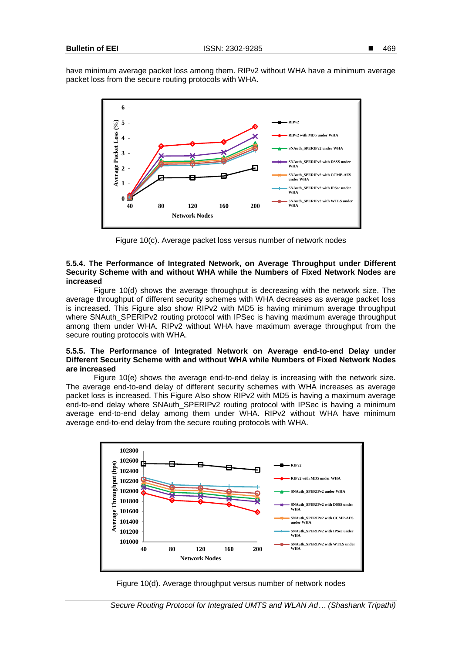

Figure 10(c). Average packet loss versus number of network nodes

## **5.5.4. The Performance of Integrated Network, on Average Throughput under Different Security Scheme with and without WHA while the Numbers of Fixed Network Nodes are increased**

Figure 10(d) shows the average throughput is decreasing with the network size. The average throughput of different security schemes with WHA decreases as average packet loss is increased. This Figure also show RIPv2 with MD5 is having minimum average throughput where SNAuth\_SPERIPv2 routing protocol with IPSec is having maximum average throughput among them under WHA. RIPv2 without WHA have maximum average throughput from the secure routing protocols with WHA.

## **5.5.5. The Performance of Integrated Network on Average end-to-end Delay under Different Security Scheme with and without WHA while Numbers of Fixed Network Nodes are increased**

Figure 10(e) shows the average end-to-end delay is increasing with the network size. The average end-to-end delay of different security schemes with WHA increases as average packet loss is increased. This Figure Also show RIPv2 with MD5 is having a maximum average end-to-end delay where SNAuth\_SPERIPv2 routing protocol with IPSec is having a minimum average end-to-end delay among them under WHA. RIPv2 without WHA have minimum average end-to-end delay from the secure routing protocols with WHA.



Figure 10(d). Average throughput versus number of network nodes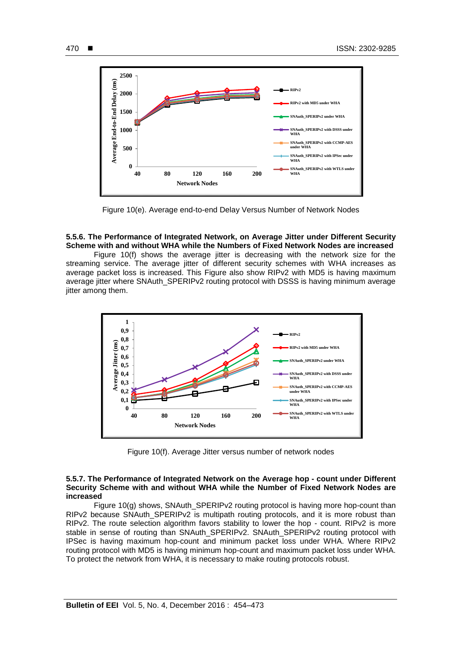

Figure 10(e). Average end-to-end Delay Versus Number of Network Nodes

## **5.5.6. The Performance of Integrated Network, on Average Jitter under Different Security Scheme with and without WHA while the Numbers of Fixed Network Nodes are increased**

Figure 10(f) shows the average jitter is decreasing with the network size for the streaming service. The average jitter of different security schemes with WHA increases as average packet loss is increased. This Figure also show RIPv2 with MD5 is having maximum average jitter where SNAuth\_SPERIPv2 routing protocol with DSSS is having minimum average jitter among them.



Figure 10(f). Average Jitter versus number of network nodes

#### **5.5.7. The Performance of Integrated Network on the Average hop - count under Different Security Scheme with and without WHA while the Number of Fixed Network Nodes are increased**

Figure 10(g) shows, SNAuth\_SPERIPv2 routing protocol is having more hop-count than RIPv2 because SNAuth\_SPERIPv2 is multipath routing protocols, and it is more robust than RIPv2. The route selection algorithm favors stability to lower the hop - count. RIPv2 is more stable in sense of routing than SNAuth SPERIPv2. SNAuth SPERIPv2 routing protocol with IPSec is having maximum hop-count and minimum packet loss under WHA. Where RIPv2 routing protocol with MD5 is having minimum hop-count and maximum packet loss under WHA. To protect the network from WHA, it is necessary to make routing protocols robust.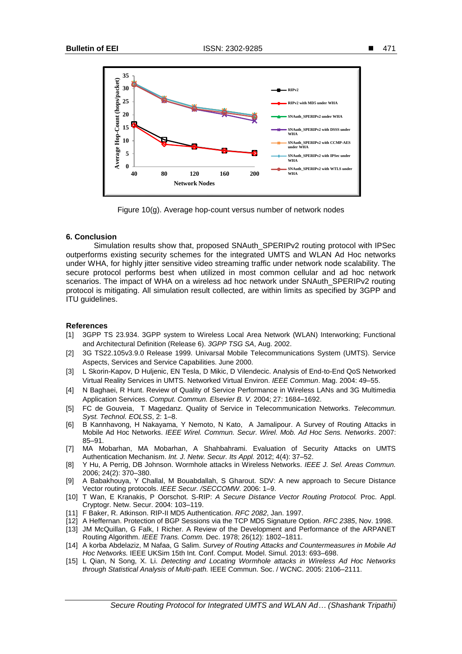

Figure 10(g). Average hop-count versus number of network nodes

## **6. Conclusion**

Simulation results show that, proposed SNAuth\_SPERIPv2 routing protocol with IPSec outperforms existing security schemes for the integrated UMTS and WLAN Ad Hoc networks under WHA, for highly jitter sensitive video streaming traffic under network node scalability. The secure protocol performs best when utilized in most common cellular and ad hoc network scenarios. The impact of WHA on a wireless ad hoc network under SNAuth\_SPERIPv2 routing protocol is mitigating. All simulation result collected, are within limits as specified by 3GPP and ITU guidelines.

#### **References**

- [1] 3GPP TS 23.934. 3GPP system to Wireless Local Area Network (WLAN) Interworking; Functional and Architectural Definition (Release 6). *3GPP TSG SA*, Aug. 2002.
- [2] 3G TS22.105v3.9.0 Release 1999. Univarsal Mobile Telecommunications System (UMTS). Service Aspects, Services and Service Capabilities. June 2000.
- [3] L Skorin-Kapov, D Huljenic, EN Tesla, D Mikic, D Vilendecic. Analysis of End-to-End QoS Networked Virtual Reality Services in UMTS. Networked Virtual Environ. *IEEE Commun*. Mag. 2004: 49–55.
- [4] N Baghaei, R Hunt. Review of Quality of Service Performance in Wireless LANs and 3G Multimedia Application Services. *Comput. Commun. Elsevier B. V.* 2004; 27: 1684–1692.
- [5] FC de Gouveia, T Magedanz. Quality of Service in Telecommunication Networks. *Telecommun. Syst. Technol. EOLSS*, 2: 1–8.
- [6] B Kannhavong, H Nakayama, Y Nemoto, N Kato, A Jamalipour. A Survey of Routing Attacks in Mobile Ad Hoc Networks. *IEEE Wirel. Commun. Secur. Wirel. Mob. Ad Hoc Sens. Networks*. 2007: 85–91.
- [7] MA Mobarhan, MA Mobarhan, A Shahbahrami. Evaluation of Security Attacks on UMTS Authentication Mechanism. *Int. J. Netw. Secur. Its Appl.* 2012; 4(4): 37–52.
- [8] Y Hu, A Perrig, DB Johnson. Wormhole attacks in Wireless Networks. *IEEE J. Sel. Areas Commun.* 2006; 24(2): 370–380.
- [9] A Babakhouya, Y Challal, M Bouabdallah, S Gharout. SDV: A new approach to Secure Distance Vector routing protocols. *IEEE Secur. /SECCOMW.* 2006: 1–9.
- [10] T Wan, E Kranakis, P Oorschot. S-RIP: *A Secure Distance Vector Routing Protocol.* Proc. Appl. Cryptogr. Netw. Secur. 2004: 103–119.
- [11] F Baker, R. Atkinson. RIP-II MD5 Authentication. *RFC 2082*, Jan. 1997.
- [12] A Heffernan. Protection of BGP Sessions via the TCP MD5 Signature Option. *RFC 2385*, Nov. 1998.
- [13] JM McQuillan, G Falk, I Richer. A Review of the Development and Performance of the ARPANET Routing Algorithm. *IEEE Trans. Comm.* Dec. 1978; 26(12): 1802–1811.
- [14] A korba Abdelaziz, M Nafaa, G Salim. *Survey of Routing Attacks and Countermeasures in Mobile Ad Hoc Networks.* IEEE UKSim 15th Int. Conf. Comput. Model. Simul. 2013: 693–698.
- [15] L Qian, N Song, X. Li. *Detecting and Locating Wormhole attacks in Wireless Ad Hoc Networks through Statistical Analysis of Multi-path.* IEEE Commun. Soc. / WCNC. 2005: 2106–2111.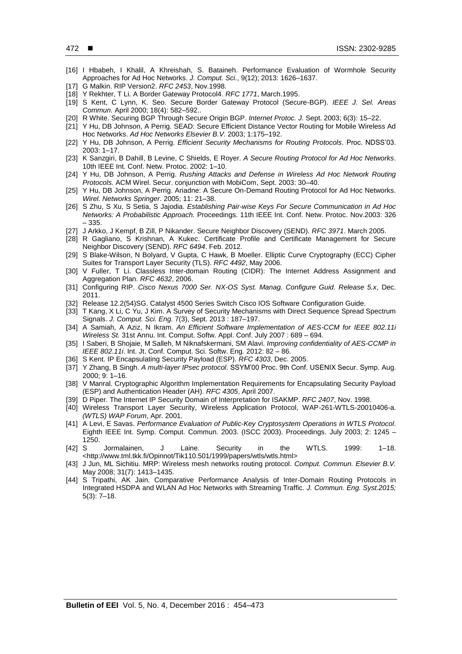- [16] I Hbabeh, I Khalil, A Khreishah, S. Bataineh. Performance Evaluation of Wormhole Security Approaches for Ad Hoc Networks. *J. Comput. Sci.*, 9(12); 2013: 1626–1637.
- [17] G Malkin. RIP Version2. *RFC 2453*, Nov.1998.
- [18] Y Rekhter, T Li. A Border Gateway Protocol4. *RFC 1771*, March.1995.
- [19] S Kent, C Lynn, K. Seo. Secure Border Gateway Protocol (Secure-BGP). *IEEE J. Sel. Areas Commun.* April 2000; 18(4): 582–592..
- [20] R White. Securing BGP Through Secure Origin BGP. *Internet Protoc. J.* Sept. 2003; 6(3): 15–22.
- [21] Y Hu, DB Johnson, A Perrig. SEAD: Secure Efficient Distance Vector Routing for Mobile Wireless Ad Hoc Networks. *Ad Hoc Networks Elsevier B.V.* 2003; 1:175–192.
- [22] Y Hu, DB Johnson, A Perrig. *Efficient Security Mechanisms for Routing Protocols*. Proc. NDSS'03. 2003: 1–17.
- [23] K Sanzgiri, B Dahill, B Levine, C Shields, E Royer. *A Secure Routing Protocol for Ad Hoc Networks*. 10th IEEE Int. Conf. Netw. Protoc. 2002: 1–10.
- [24] Y Hu, DB Johnson, A Perrig. *Rushing Attacks and Defense in Wireless Ad Hoc Network Routing Protocols.* ACM Wirel. Secur. conjunction with MobiCom, Sept. 2003: 30–40.
- [25] Y Hu, DB Johnson, A Perrig. Ariadne: A Secure On-Demand Routing Protocol for Ad Hoc Networks. *Wirel. Networks Springer*. 2005; 11: 21–38.
- [26] S Zhu, S Xu, S Setia, S Jajodia. *Establishing Pair-wise Keys For Secure Communication in Ad Hoc Networks: A Probabilistic Approach.* Proceedings. 11th IEEE Int. Conf. Netw. Protoc. Nov.2003: 326 – 335.
- [27] J Arkko, J Kempf, B Zill, P Nikander. Secure Neighbor Discovery (SEND). *RFC 3971*. March 2005.
- [28] R Gagliano, S Krishnan, A Kukec. Certificate Profile and Certificate Management for Secure Neighbor Discovery (SEND). *RFC 6494*. Feb. 2012.
- [29] S Blake-Wilson, N Bolyard, V Gupta, C Hawk, B Moeller. Elliptic Curve Cryptography (ECC) Cipher Suites for Transport Layer Security (TLS). *RFC 4492*, May 2006.
- [30] V Fuller, T Li. Classless Inter-domain Routing (CIDR): The Internet Address Assignment and Aggregation Plan. *RFC 4632*, 2006.
- [31] Configuring RIP. *Cisco Nexus 7000 Ser. NX-OS Syst. Manag. Configure Guid. Release 5.x*, Dec. 2011.
- [32] Release 12.2(54) SG. Catalyst 4500 Series Switch Cisco IOS Software Configuration Guide.
- [33] T Kang, X Li, C Yu, J Kim. A Survey of Security Mechanisms with Direct Sequence Spread Spectrum Signals. *J. Comput. Sci. Eng.* 7(3), Sept. 2013 : 187–197.
- [34] A Samiah, A Aziz, N Ikram. *An Efficient Software Implementation of AES-CCM for IEEE 802.11i Wireless St.* 31st Annu. Int. Comput. Softw. Appl. Conf. July 2007 : 689 – 694.
- [35] I Saberi, B Shojaie, M Salleh, M Niknafskermani, SM Alavi. *Improving confidentiality of AES-CCMP in IEEE 802.11i*. Int. Jt. Conf. Comput. Sci. Softw. Eng*.* 2012: 82 – 86.
- [36] S Kent. IP Encapsulating Security Payload (ESP). *RFC 4303*, Dec. 2005.
- [37] Y Zhang, B Singh. *A multi-layer IPsec protocol*. SSYM'00 Proc. 9th Conf. USENIX Secur. Symp. Aug. 2000; 9: 1–16.
- [38] V Manral. Cryptographic Algorithm Implementation Requirements for Encapsulating Security Payload (ESP) and Authentication Header (AH). *RFC 4305*, April 2007.
- [39] D Piper. The Internet IP Security Domain of Interpretation for ISAKMP. *RFC 2407*, Nov. 1998.
- [40] Wireless Transport Layer Security, Wireless Application Protocol, WAP-261-WTLS-20010406-a. *(WTLS) WAP Forum*, Apr. 2001.
- [41] A Levi, E Savas. *Performance Evaluation of Public-Key Cryptosystem Operations in WTLS Protocol*. Eighth IEEE Int. Symp. Comput. Commun. 2003. (ISCC 2003). Proceedings. July 2003; 2: 1245 – 1250.<br>[42] S
- [42] S Jormalainen, J Laine. Security in the WTLS. 1999: 1–18. <http://www.tml.tkk.fi/Opinnot/Tik110.501/1999/papers/wtls/wtls.html>
- [43] J Jun, ML Sichitiu. MRP: Wireless mesh networks routing protocol. *Comput. Commun. Elsevier B.V.* May 2008; 31(7): 1413–1435.
- [44] S Tripathi, AK Jain. Comparative Performance Analysis of Inter-Domain Routing Protocols in Integrated HSDPA and WLAN Ad Hoc Networks with Streaming Traffic. *J. Commun. Eng. Syst.2015;*  5(3): 7–18.